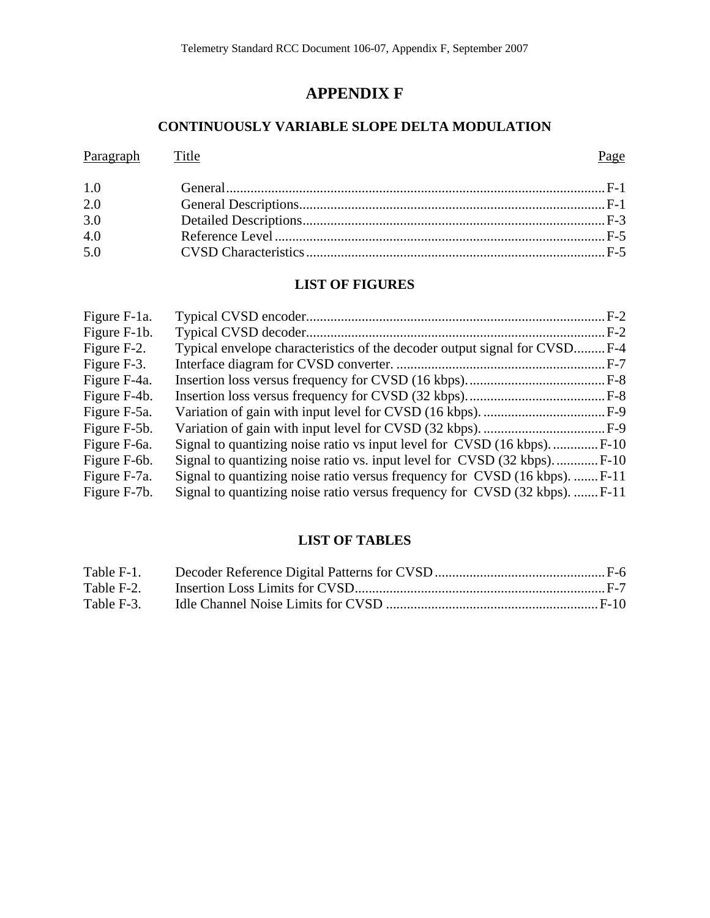## **APPENDIX F**

#### **CONTINUOUSLY VARIABLE SLOPE DELTA MODULATION**

# Paragraph Title Page 1.0 General.............................................................................................................F-1 2.0 General Descriptions........................................................................................F-1 3.0 Detailed Descriptions.......................................................................................F-3 4.0 Reference Level ...............................................................................................F-5 5.0 CVSD Characteristics......................................................................................F-5

#### **LIST OF FIGURES**

| Figure F-1a. |                                                                            |  |
|--------------|----------------------------------------------------------------------------|--|
| Figure F-1b. |                                                                            |  |
| Figure F-2.  | Typical envelope characteristics of the decoder output signal for CVSDF-4  |  |
| Figure F-3.  |                                                                            |  |
| Figure F-4a. |                                                                            |  |
| Figure F-4b. |                                                                            |  |
| Figure F-5a. |                                                                            |  |
| Figure F-5b. |                                                                            |  |
| Figure F-6a. |                                                                            |  |
| Figure F-6b. | Signal to quantizing noise ratio vs. input level for CVSD (32 kbps)F-10    |  |
| Figure F-7a. | Signal to quantizing noise ratio versus frequency for CVSD (16 kbps). F-11 |  |
| Figure F-7b. | Signal to quantizing noise ratio versus frequency for CVSD (32 kbps). F-11 |  |

#### **LIST OF TABLES**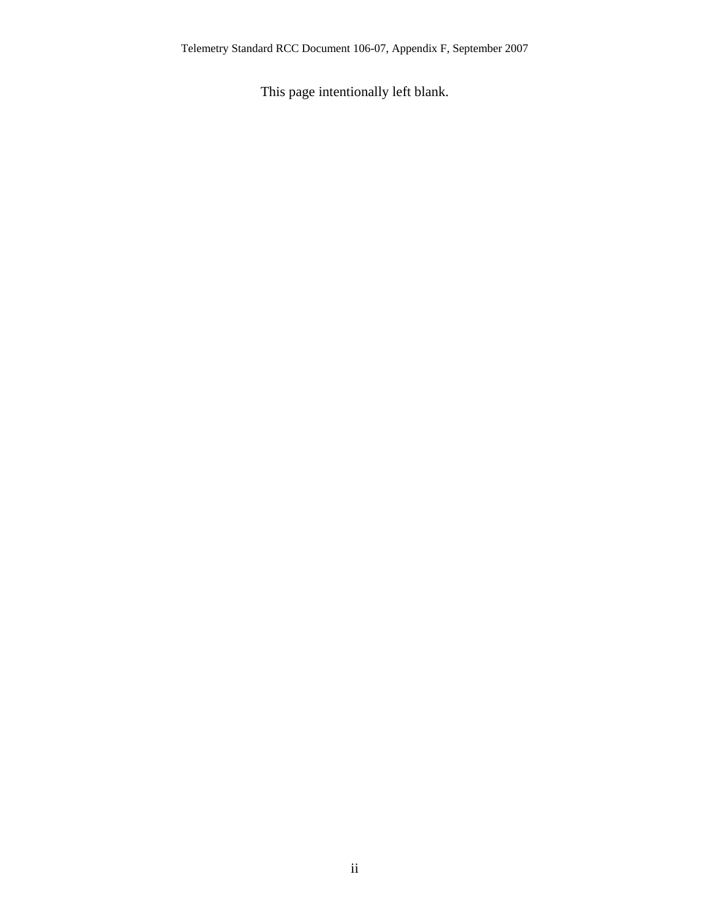This page intentionally left blank.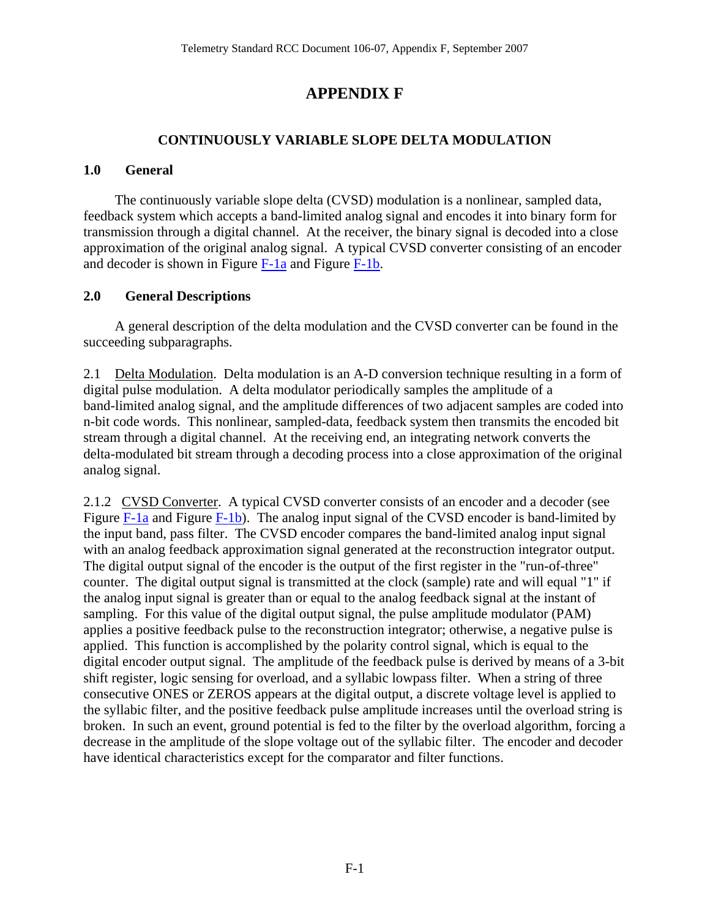# **APPENDIX F**

## **CONTINUOUSLY VARIABLE SLOPE DELTA MODULATION**

#### **1.0 General**

 The continuously variable slope delta (CVSD) modulation is a nonlinear, sampled data, feedback system which accepts a band-limited analog signal and encodes it into binary form for transmission through a digital channel. At the receiver, the binary signal is decoded into a close approximation of the original analog signal. A typical CVSD converter consisting of an encoder and decoder is shown in Figure [F-1a](#page-3-0) and Figure [F-1b.](#page-3-0)

## **2.0 General Descriptions**

 A general description of the delta modulation and the CVSD converter can be found in the succeeding subparagraphs.

2.1 Delta Modulation. Delta modulation is an A-D conversion technique resulting in a form of digital pulse modulation. A delta modulator periodically samples the amplitude of a band-limited analog signal, and the amplitude differences of two adjacent samples are coded into n-bit code words. This nonlinear, sampled-data, feedback system then transmits the encoded bit stream through a digital channel. At the receiving end, an integrating network converts the delta-modulated bit stream through a decoding process into a close approximation of the original analog signal.

2.1.2 CVSD Converter. A typical CVSD converter consists of an encoder and a decoder (see Figure [F-1a](#page-3-0) and Figure [F-1b\)](#page-3-0). The analog input signal of the CVSD encoder is band-limited by the input band, pass filter. The CVSD encoder compares the band-limited analog input signal with an analog feedback approximation signal generated at the reconstruction integrator output. The digital output signal of the encoder is the output of the first register in the "run-of-three" counter. The digital output signal is transmitted at the clock (sample) rate and will equal "1" if the analog input signal is greater than or equal to the analog feedback signal at the instant of sampling. For this value of the digital output signal, the pulse amplitude modulator (PAM) applies a positive feedback pulse to the reconstruction integrator; otherwise, a negative pulse is applied. This function is accomplished by the polarity control signal, which is equal to the digital encoder output signal. The amplitude of the feedback pulse is derived by means of a 3-bit shift register, logic sensing for overload, and a syllabic lowpass filter. When a string of three consecutive ONES or ZEROS appears at the digital output, a discrete voltage level is applied to the syllabic filter, and the positive feedback pulse amplitude increases until the overload string is broken. In such an event, ground potential is fed to the filter by the overload algorithm, forcing a decrease in the amplitude of the slope voltage out of the syllabic filter. The encoder and decoder have identical characteristics except for the comparator and filter functions.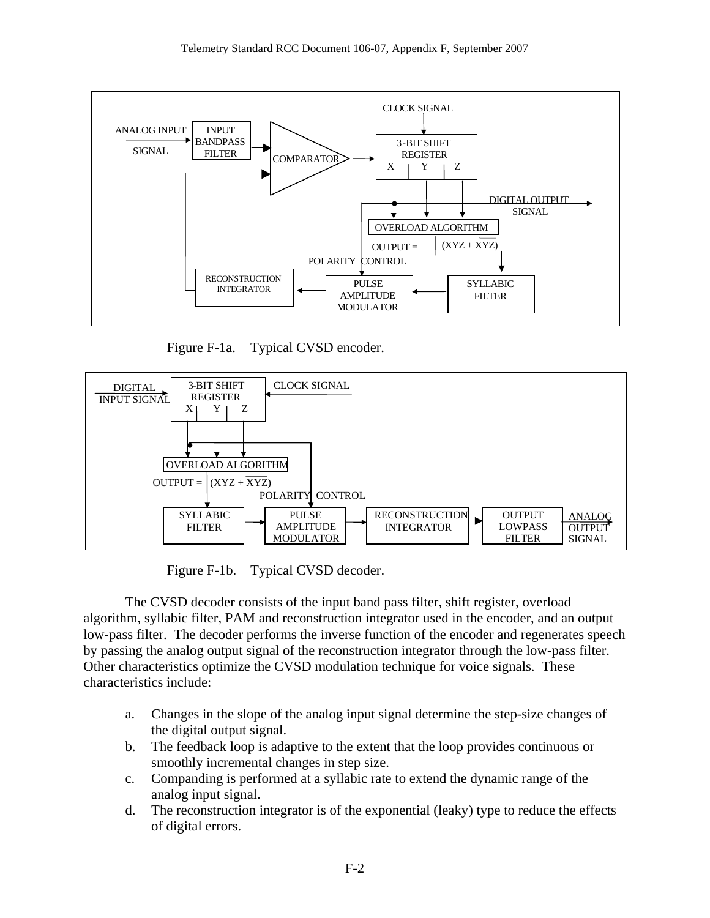<span id="page-3-0"></span>

Figure F-1a. Typical CVSD encoder.



Figure F-1b. Typical CVSD decoder.

 The CVSD decoder consists of the input band pass filter, shift register, overload algorithm, syllabic filter, PAM and reconstruction integrator used in the encoder, and an output low-pass filter. The decoder performs the inverse function of the encoder and regenerates speech by passing the analog output signal of the reconstruction integrator through the low-pass filter. Other characteristics optimize the CVSD modulation technique for voice signals. These characteristics include:

- a. Changes in the slope of the analog input signal determine the step-size changes of the digital output signal.
- b. The feedback loop is adaptive to the extent that the loop provides continuous or smoothly incremental changes in step size.
- c. Companding is performed at a syllabic rate to extend the dynamic range of the analog input signal.
- d. The reconstruction integrator is of the exponential (leaky) type to reduce the effects of digital errors.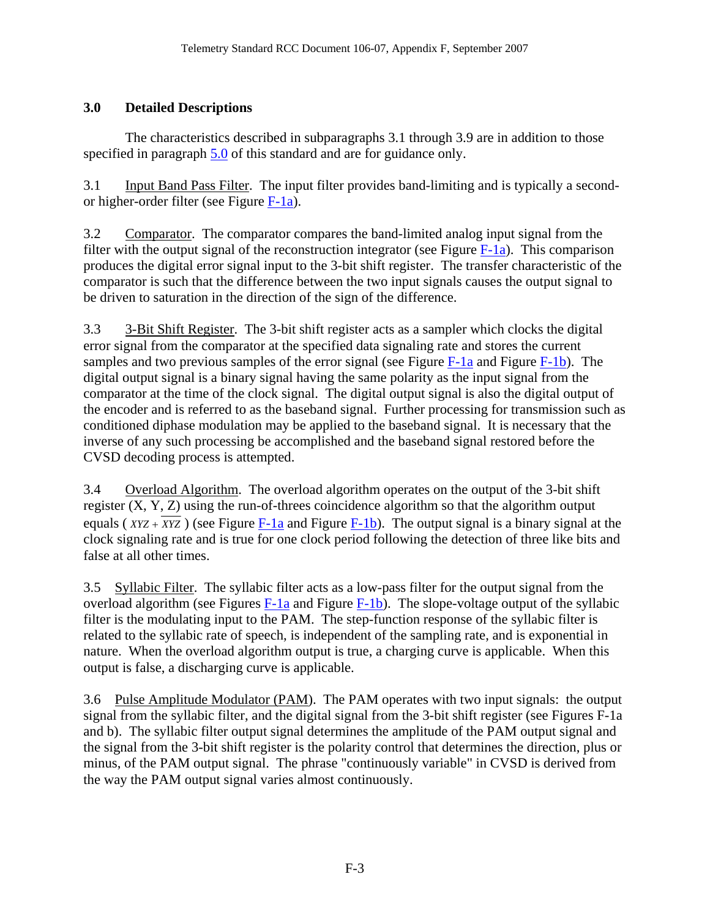# **3.0 Detailed Descriptions**

 The characteristics described in subparagraphs 3.1 through 3.9 are in addition to those specified in paragraph [5.0](#page-6-0) of this standard and are for guidance only.

3.1 Input Band Pass Filter. The input filter provides band-limiting and is typically a secondor higher-order filter (see Figure [F-1a\)](#page-3-0).

3.2 Comparator. The comparator compares the band-limited analog input signal from the filter with the output signal of the reconstruction integrator (see Figure  $F-1a$ ). This comparison produces the digital error signal input to the 3-bit shift register. The transfer characteristic of the comparator is such that the difference between the two input signals causes the output signal to be driven to saturation in the direction of the sign of the difference.

3.3 3-Bit Shift Register. The 3-bit shift register acts as a sampler which clocks the digital error signal from the comparator at the specified data signaling rate and stores the current samples and two previous samples of the error signal (see Figure  $F$ -1a and Figure  $F$ -1b). The digital output signal is a binary signal having the same polarity as the input signal from the comparator at the time of the clock signal. The digital output signal is also the digital output of the encoder and is referred to as the baseband signal. Further processing for transmission such as conditioned diphase modulation may be applied to the baseband signal. It is necessary that the inverse of any such processing be accomplished and the baseband signal restored before the CVSD decoding process is attempted.

3.4 Overload Algorithm. The overload algorithm operates on the output of the 3-bit shift register (X, Y, Z) using the run-of-threes coincidence algorithm so that the algorithm output equals ( $XYZ + \overline{XYZ}$ ) (see Figure [F-1a](#page-3-0) and Figure [F-1b](#page-3-0)). The output signal is a binary signal at the clock signaling rate and is true for one clock period following the detection of three like bits and false at all other times.

3.5 Syllabic Filter. The syllabic filter acts as a low-pass filter for the output signal from the overload algorithm (see Figures  $F-1a$  and Figure  $F-1b$ ). The slope-voltage output of the syllabic filter is the modulating input to the PAM. The step-function response of the syllabic filter is related to the syllabic rate of speech, is independent of the sampling rate, and is exponential in nature. When the overload algorithm output is true, a charging curve is applicable. When this output is false, a discharging curve is applicable.

3.6 Pulse Amplitude Modulator (PAM). The PAM operates with two input signals: the output signal from the syllabic filter, and the digital signal from the 3-bit shift register (see Figures F-1a and b). The syllabic filter output signal determines the amplitude of the PAM output signal and the signal from the 3-bit shift register is the polarity control that determines the direction, plus or minus, of the PAM output signal. The phrase "continuously variable" in CVSD is derived from the way the PAM output signal varies almost continuously.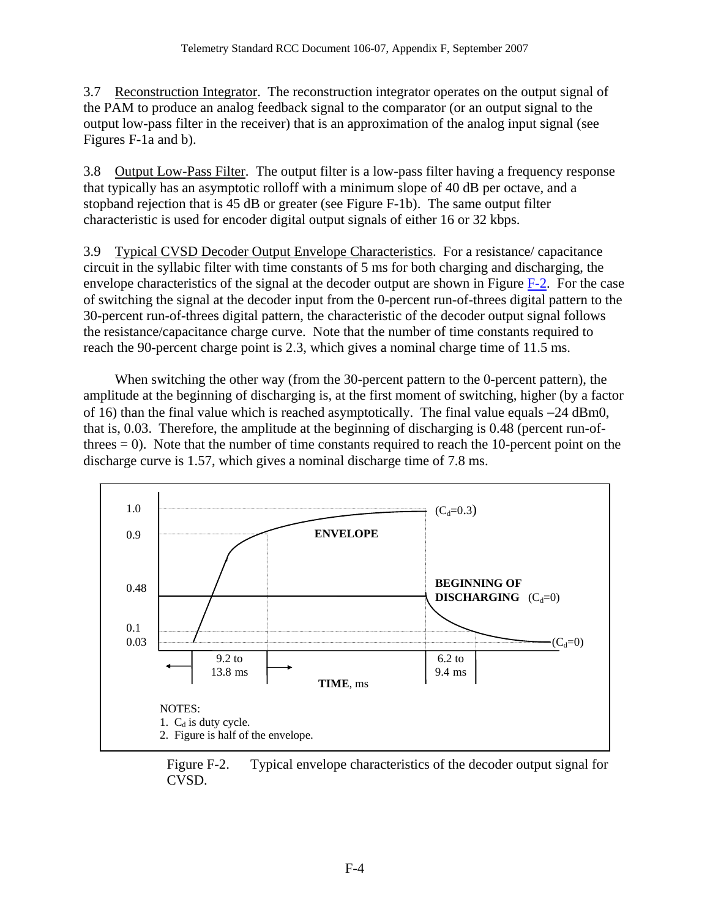<span id="page-5-0"></span>3.7 Reconstruction Integrator. The reconstruction integrator operates on the output signal of the PAM to produce an analog feedback signal to the comparator (or an output signal to the output low-pass filter in the receiver) that is an approximation of the analog input signal (see Figures F-1a and b).

3.8 Output Low-Pass Filter. The output filter is a low-pass filter having a frequency response that typically has an asymptotic rolloff with a minimum slope of 40 dB per octave, and a stopband rejection that is 45 dB or greater (see Figure F-1b). The same output filter characteristic is used for encoder digital output signals of either 16 or 32 kbps.

3.9 Typical CVSD Decoder Output Envelope Characteristics. For a resistance/ capacitance circuit in the syllabic filter with time constants of 5 ms for both charging and discharging, the envelope characteristics of the signal at the decoder output are shown in Figure [F-2.](#page-5-0) For the case of switching the signal at the decoder input from the 0-percent run-of-threes digital pattern to the 30-percent run-of-threes digital pattern, the characteristic of the decoder output signal follows the resistance/capacitance charge curve. Note that the number of time constants required to reach the 90-percent charge point is 2.3, which gives a nominal charge time of 11.5 ms.

 When switching the other way (from the 30-percent pattern to the 0-percent pattern), the amplitude at the beginning of discharging is, at the first moment of switching, higher (by a factor of 16) than the final value which is reached asymptotically. The final value equals −24 dBm0, that is, 0.03. Therefore, the amplitude at the beginning of discharging is 0.48 (percent run-ofthrees  $= 0$ ). Note that the number of time constants required to reach the 10-percent point on the discharge curve is 1.57, which gives a nominal discharge time of 7.8 ms.



Figure F-2. Typical envelope characteristics of the decoder output signal for CVSD.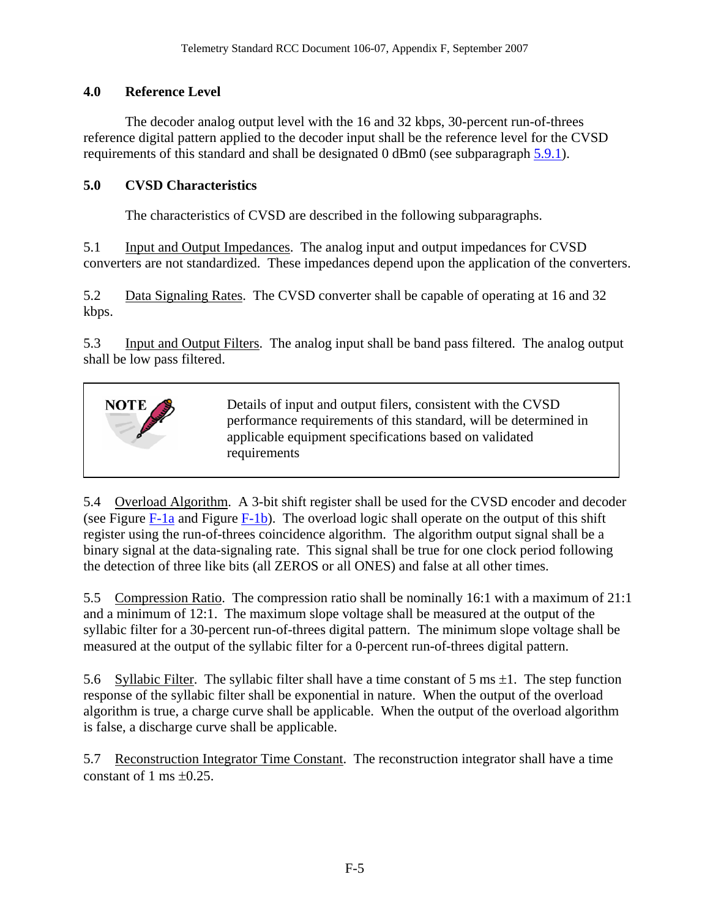## <span id="page-6-0"></span>**4.0 Reference Level**

 The decoder analog output level with the 16 and 32 kbps, 30-percent run-of-threes reference digital pattern applied to the decoder input shall be the reference level for the CVSD requirements of this standard and shall be designated 0 dBm0 (see subparagraph [5.9.1\)](#page-7-0).

## **5.0 CVSD Characteristics**

The characteristics of CVSD are described in the following subparagraphs.

5.1 Input and Output Impedances. The analog input and output impedances for CVSD converters are not standardized. These impedances depend upon the application of the converters.

5.2 Data Signaling Rates. The CVSD converter shall be capable of operating at 16 and 32 kbps.

5.3 Input and Output Filters. The analog input shall be band pass filtered. The analog output shall be low pass filtered.



5.4 Overload Algorithm. A 3-bit shift register shall be used for the CVSD encoder and decoder (see Figure  $F-1a$  and Figure  $F-1b$ ). The overload logic shall operate on the output of this shift register using the run-of-threes coincidence algorithm. The algorithm output signal shall be a binary signal at the data-signaling rate. This signal shall be true for one clock period following the detection of three like bits (all ZEROS or all ONES) and false at all other times.

5.5 Compression Ratio. The compression ratio shall be nominally 16:1 with a maximum of 21:1 and a minimum of 12:1. The maximum slope voltage shall be measured at the output of the syllabic filter for a 30-percent run-of-threes digital pattern. The minimum slope voltage shall be measured at the output of the syllabic filter for a 0-percent run-of-threes digital pattern.

5.6 Syllabic Filter. The syllabic filter shall have a time constant of 5 ms  $\pm 1$ . The step function response of the syllabic filter shall be exponential in nature. When the output of the overload algorithm is true, a charge curve shall be applicable. When the output of the overload algorithm is false, a discharge curve shall be applicable.

5.7 Reconstruction Integrator Time Constant. The reconstruction integrator shall have a time constant of 1 ms  $\pm 0.25$ .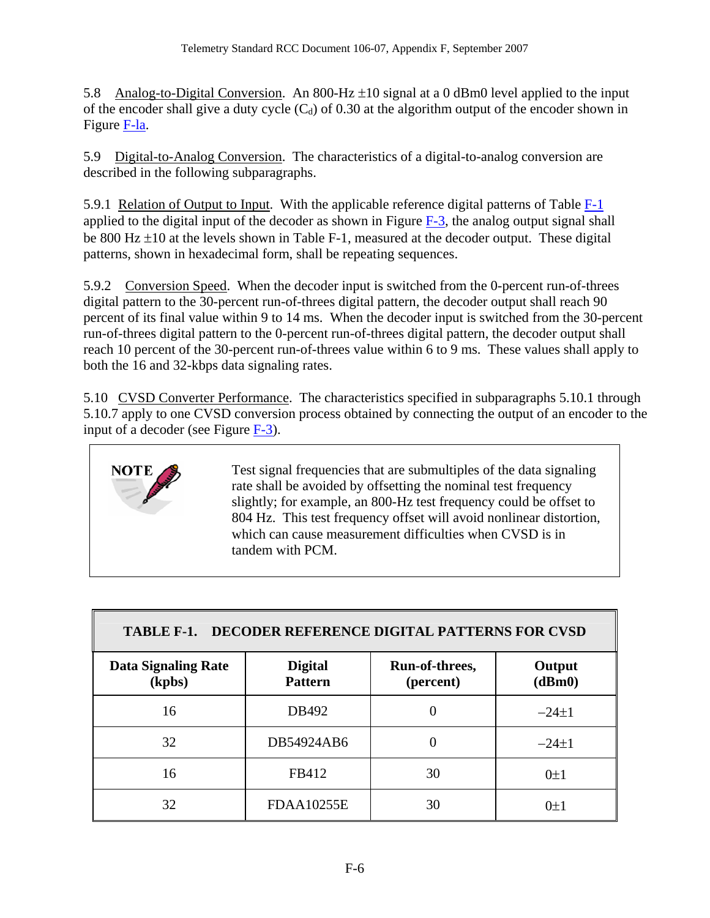<span id="page-7-0"></span>5.8 Analog-to-Digital Conversion. An 800-Hz  $\pm 10$  signal at a 0 dBm0 level applied to the input of the encoder shall give a duty cycle  $(C_d)$  of 0.30 at the algorithm output of the encoder shown in Figure [F-la.](#page-3-0)

5.9 Digital-to-Analog Conversion. The characteristics of a digital-to-analog conversion are described in the following subparagraphs.

5.9.1 Relation of Output to Input. With the applicable reference digital patterns of Table [F-1](#page-7-0) applied to the digital input of the decoder as shown in Figure  $F-3$ , the analog output signal shall be 800 Hz  $\pm 10$  at the levels shown in Table F-1, measured at the decoder output. These digital patterns, shown in hexadecimal form, shall be repeating sequences.

5.9.2 Conversion Speed. When the decoder input is switched from the 0-percent run-of-threes digital pattern to the 30-percent run-of-threes digital pattern, the decoder output shall reach 90 percent of its final value within 9 to 14 ms. When the decoder input is switched from the 30-percent run-of-threes digital pattern to the 0-percent run-of-threes digital pattern, the decoder output shall reach 10 percent of the 30-percent run-of-threes value within 6 to 9 ms. These values shall apply to both the 16 and 32-kbps data signaling rates.

5.10 CVSD Converter Performance. The characteristics specified in subparagraphs 5.10.1 through 5.10.7 apply to one CVSD conversion process obtained by connecting the output of an encoder to the input of a decoder (see Figure [F-3](#page-8-0)).



Test signal frequencies that are submultiples of the data signaling rate shall be avoided by offsetting the nominal test frequency slightly; for example, an 800-Hz test frequency could be offset to 804 Hz. This test frequency offset will avoid nonlinear distortion, which can cause measurement difficulties when CVSD is in tandem with PCM.

| <b>TABLE F-1. DECODER REFERENCE DIGITAL PATTERNS FOR CVSD</b> |                                  |                             |                  |  |  |
|---------------------------------------------------------------|----------------------------------|-----------------------------|------------------|--|--|
| <b>Data Signaling Rate</b><br>(kpbs)                          | <b>Digital</b><br><b>Pattern</b> | Run-of-threes,<br>(percent) | Output<br>(dBm0) |  |  |
| 16                                                            | DB492                            |                             | $-24\pm1$        |  |  |
| 32                                                            | DB54924AB6                       |                             | $-24\pm1$        |  |  |
| 16                                                            | FB412                            | 30                          | $0\pm1$          |  |  |
| 32                                                            | <b>FDAA10255E</b>                | 30                          | $() + 1$         |  |  |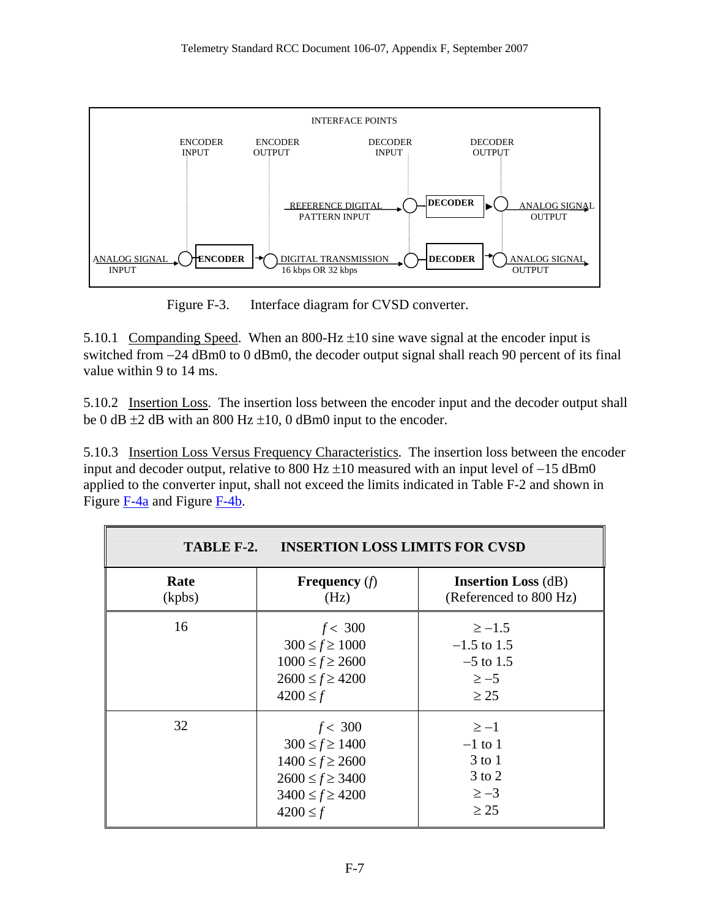<span id="page-8-0"></span>

Figure F-3. Interface diagram for CVSD converter.

5.10.1 Companding Speed. When an 800-Hz  $\pm 10$  sine wave signal at the encoder input is switched from −24 dBm0 to 0 dBm0, the decoder output signal shall reach 90 percent of its final value within 9 to 14 ms.

5.10.2 Insertion Loss. The insertion loss between the encoder input and the decoder output shall be 0 dB  $\pm$ 2 dB with an 800 Hz  $\pm$ 10, 0 dBm0 input to the encoder.

5.10.3 Insertion Loss Versus Frequency Characteristics. The insertion loss between the encoder input and decoder output, relative to 800 Hz ±10 measured with an input level of −15 dBm0 applied to the converter input, shall not exceed the limits indicated in Table F-2 and shown in Figure [F-4a](#page-9-0) and Figure [F-4b.](#page-9-0)

| TABLE F-2.<br><b>INSERTION LOSS LIMITS FOR CVSD</b> |                                                                                                                            |                                                                              |  |  |  |
|-----------------------------------------------------|----------------------------------------------------------------------------------------------------------------------------|------------------------------------------------------------------------------|--|--|--|
| Rate<br>(kpbs)                                      | <b>Frequency</b> $(f)$<br>(Hz)                                                                                             | <b>Insertion Loss</b> (dB)<br>(Referenced to 800 Hz)                         |  |  |  |
| 16                                                  | f < 300<br>$300 \le f \ge 1000$<br>$1000 \le f \ge 2600$<br>$2600 \le f \ge 4200$<br>$4200 \le f$                          | $\ge -1.5$<br>$-1.5$ to 1.5<br>$-5$ to 1.5<br>$\ge -5$<br>$\geq$ 25          |  |  |  |
| 32                                                  | f < 300<br>$300 \le f \ge 1400$<br>$1400 \le f \ge 2600$<br>$2600 \le f \ge 3400$<br>$3400 \le f \ge 4200$<br>$4200 \le f$ | $\geq -1$<br>$-1$ to 1<br>$3$ to $1$<br>$3$ to $2$<br>$\geq -3$<br>$\geq$ 25 |  |  |  |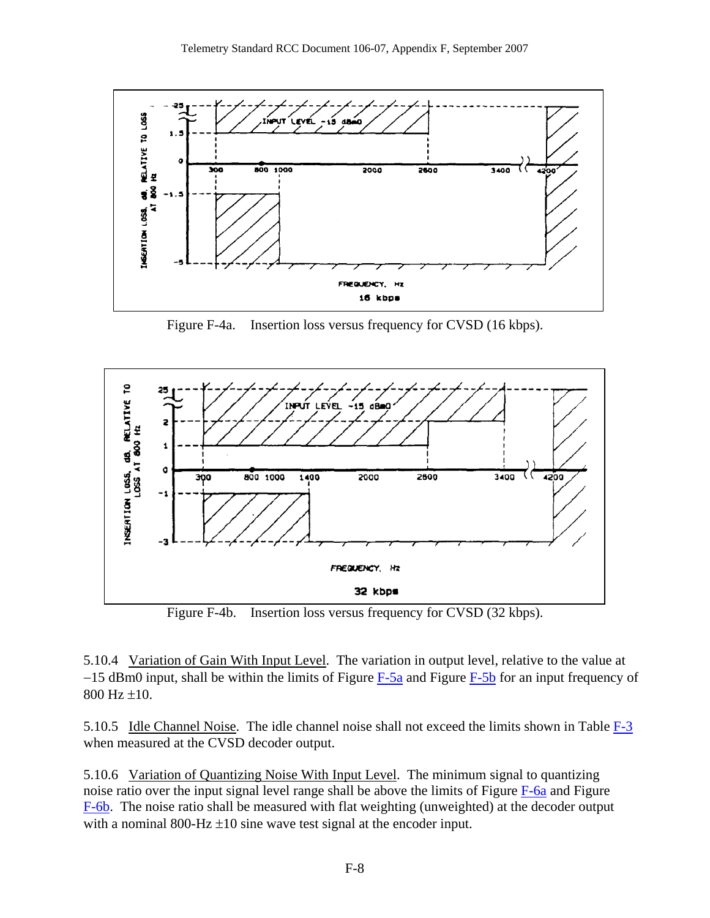<span id="page-9-0"></span>

Figure F-4a. Insertion loss versus frequency for CVSD (16 kbps).



Figure F-4b. Insertion loss versus frequency for CVSD (32 kbps).

5.10.4 Variation of Gain With Input Level. The variation in output level, relative to the value at −15 dBm0 input, shall be within the limits of Figure [F-5a](#page-10-0) and Figure [F-5b](#page-10-0) for an input frequency of  $800 \text{ Hz} \pm 10.$ 

5.10.5 Idle Channel Noise. The idle channel noise shall not exceed the limits shown in Table [F-3](#page-11-0) when measured at the CVSD decoder output.

5.10.6 Variation of Quantizing Noise With Input Level. The minimum signal to quantizing noise ratio over the input signal level range shall be above the limits of Figure [F-6a](#page-11-0) and Figure [F-6b.](#page-11-0) The noise ratio shall be measured with flat weighting (unweighted) at the decoder output with a nominal 800-Hz  $\pm 10$  sine wave test signal at the encoder input.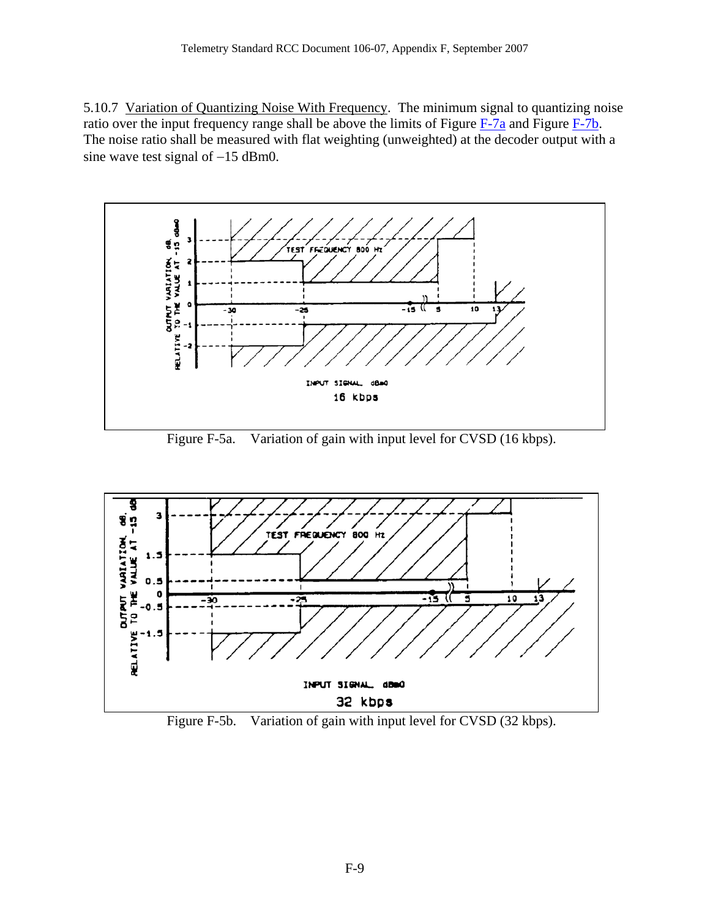<span id="page-10-0"></span>5.10.7 Variation of Quantizing Noise With Frequency. The minimum signal to quantizing noise ratio over the input frequency range shall be above the limits of Figure [F-7a](#page-12-0) and Figure [F-7b.](#page-12-0) The noise ratio shall be measured with flat weighting (unweighted) at the decoder output with a sine wave test signal of −15 dBm0.



Figure F-5a. Variation of gain with input level for CVSD (16 kbps).



Figure F-5b. Variation of gain with input level for CVSD (32 kbps).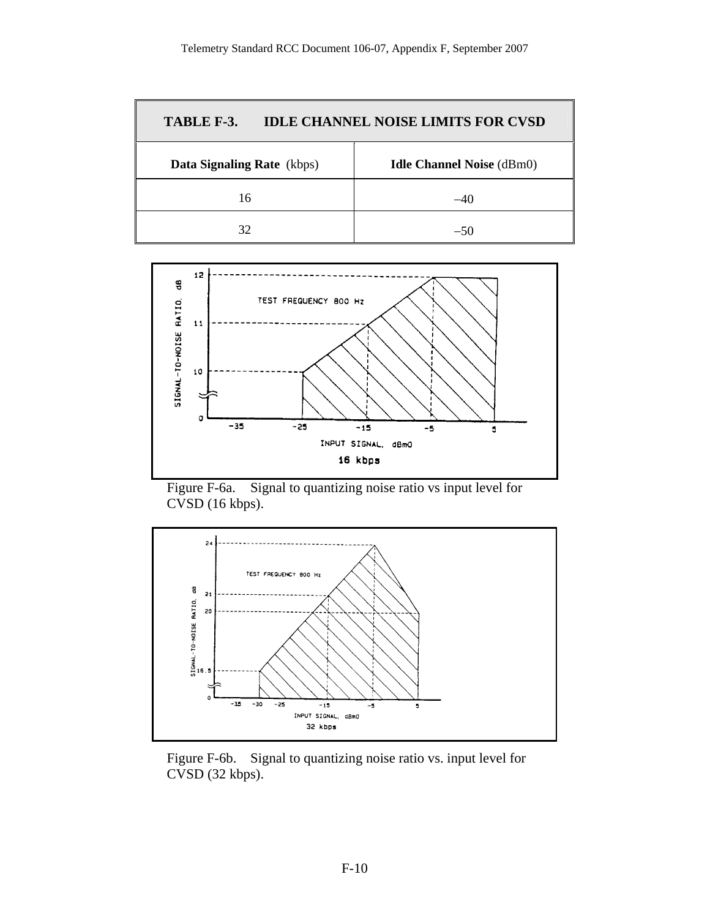<span id="page-11-0"></span>

| <b>IDLE CHANNEL NOISE LIMITS FOR CVSD</b><br>TABLE F-3. |                                  |  |  |
|---------------------------------------------------------|----------------------------------|--|--|
| Data Signaling Rate (kbps)                              | <b>Idle Channel Noise (dBm0)</b> |  |  |
| 16                                                      | $-40$                            |  |  |
| 32                                                      | $-50$                            |  |  |



Figure F-6a. Signal to quantizing noise ratio vs input level for CVSD (16 kbps).



Figure F-6b. Signal to quantizing noise ratio vs. input level for CVSD (32 kbps).